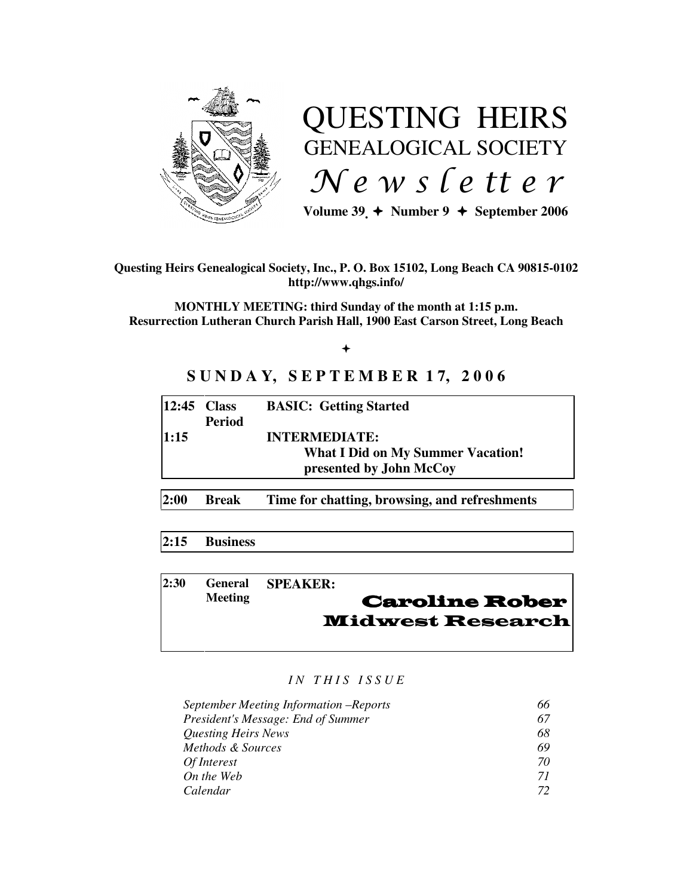

# QUESTING HEIRS GENEALOGICAL SOCIETY  $Ne$  w s letter

Volume  $39 \div \text{Number } 9 \div \text{September } 2006$ 

## **Questing Heirs Genealogical Society, Inc., P. O. Box 15102, Long Beach CA 90815-0102 http://www.qhgs.info/**

**MONTHLY MEETING: third Sunday of the month at 1:15 p.m. Resurrection Lutheran Church Parish Hall, 1900 East Carson Street, Long Beach** 

 $+$ 

# **S U N D A Y, S E P T E M B E R 1 7, 2 0 0 6**

| $ 12:45$ Class |               | <b>BASIC: Getting Started</b>            |
|----------------|---------------|------------------------------------------|
|                | <b>Period</b> |                                          |
| 1:15           |               | <b>INTERMEDIATE:</b>                     |
|                |               | <b>What I Did on My Summer Vacation!</b> |
|                |               | presented by John McCoy                  |
|                |               |                                          |

**2:00 Break Time for chatting, browsing, and refreshments** 

## **2:15 Business**

| 12:30 |                | General SPEAKER:        |
|-------|----------------|-------------------------|
|       | <b>Meeting</b> | <b>Caroline Rober</b>   |
|       |                | <b>Midwest Research</b> |
|       |                |                         |

#### *I N T H I S I S S U E*

| September Meeting Information –Reports | 66 |
|----------------------------------------|----|
| President's Message: End of Summer     | 67 |
| <i><b>Questing Heirs News</b></i>      | 68 |
| Methods & Sources                      | 69 |
| Of Interest                            | 70 |
| On the Web                             | 71 |
| Calendar                               | 77 |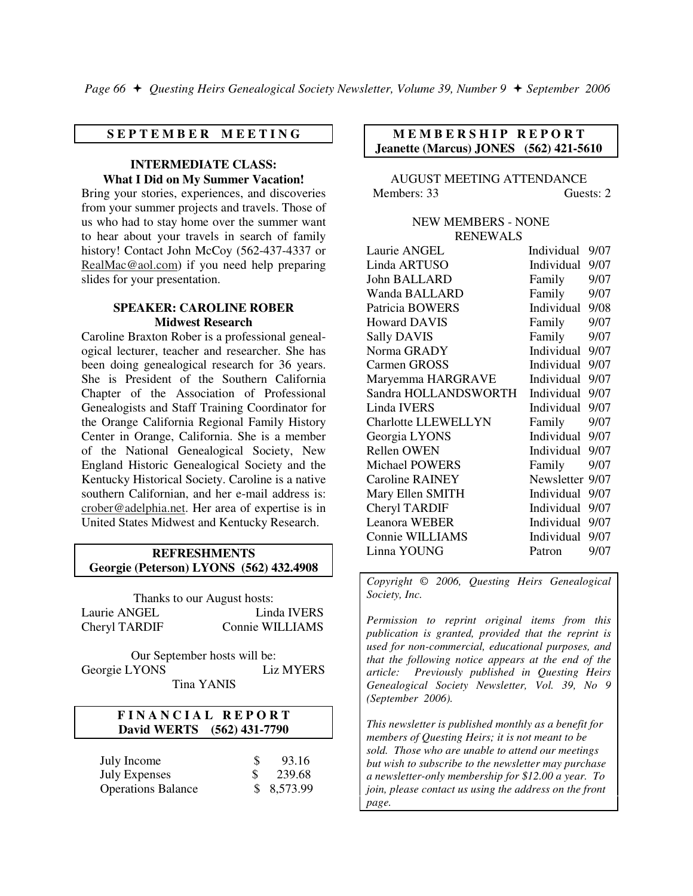#### **S E P T E M B E R M E E T I N G**

#### **INTERMEDIATE CLASS: What I Did on My Summer Vacation!**

Bring your stories, experiences, and discoveries from your summer projects and travels. Those of us who had to stay home over the summer want to hear about your travels in search of family history! Contact John McCoy (562-437-4337 or RealMac@aol.com) if you need help preparing slides for your presentation.

#### **SPEAKER: CAROLINE ROBER Midwest Research**

Caroline Braxton Rober is a professional genealogical lecturer, teacher and researcher. She has been doing genealogical research for 36 years. She is President of the Southern California Chapter of the Association of Professional Genealogists and Staff Training Coordinator for the Orange California Regional Family History Center in Orange, California. She is a member of the National Genealogical Society, New England Historic Genealogical Society and the Kentucky Historical Society. Caroline is a native southern Californian, and her e-mail address is: crober@adelphia.net. Her area of expertise is in United States Midwest and Kentucky Research.

#### **REFRESHMENTS Georgie (Peterson) LYONS (562) 432.4908**

Thanks to our August hosts: Laurie ANGEL Linda IVERS Cheryl TARDIF Connie WILLIAMS

Our September hosts will be: Georgie LYONS Liz MYERS Tina YANIS

## **F I N A N C I A L R E P O R T David WERTS (562) 431-7790**

| July Income               | 93.16      |
|---------------------------|------------|
| <b>July Expenses</b>      | 239.68     |
| <b>Operations Balance</b> | \$8,573.99 |

## **MEMBERSHIP REPORT Jeanette (Marcus) JONES (562) 421-5610**

AUGUST MEETING ATTENDANCE Members: 33 Guests: 2

#### NEW MEMBERS - NONE RENEWALS

| Laurie ANGEL               | Individual      | 9/07 |
|----------------------------|-----------------|------|
| Linda ARTUSO               | Individual      | 9/07 |
| <b>John BALLARD</b>        | Family          | 9/07 |
| Wanda BALLARD              | Family          | 9/07 |
| Patricia BOWERS            | Individual      | 9/08 |
| <b>Howard DAVIS</b>        | Family          | 9/07 |
| <b>Sally DAVIS</b>         | Family          | 9/07 |
| Norma GRADY                | Individual      | 9/07 |
| Carmen GROSS               | Individual      | 9/07 |
| Maryemma HARGRAVE          | Individual      | 9/07 |
| Sandra HOLLANDSWORTH       | Individual      | 9/07 |
| Linda IVERS                | Individual      | 9/07 |
| <b>Charlotte LLEWELLYN</b> | Family 9/07     |      |
| Georgia LYONS              | Individual 9/07 |      |
| <b>Rellen OWEN</b>         | Individual      | 9/07 |
| Michael POWERS             | Family          | 9/07 |
| <b>Caroline RAINEY</b>     | Newsletter      | 9/07 |
| Mary Ellen SMITH           | Individual      | 9/07 |
| Cheryl TARDIF              | Individual      | 9/07 |
| <b>Leanora WEBER</b>       | Individual      | 9/07 |
| Connie WILLIAMS            | Individual      | 9/07 |
| Linna YOUNG                | Patron          | 9/07 |

*Copyright* © *2006, Questing Heirs Genealogical Society, Inc.* 

*Permission to reprint original items from this publication is granted, provided that the reprint is used for non-commercial, educational purposes, and that the following notice appears at the end of the article: Previously published in Questing Heirs Genealogical Society Newsletter, Vol. 39, No 9 (September 2006).* 

*This newsletter is published monthly as a benefit for members of Questing Heirs; it is not meant to be sold. Those who are unable to attend our meetings but wish to subscribe to the newsletter may purchase a newsletter-only membership for \$12.00 a year. To join, please contact us using the address on the front page.*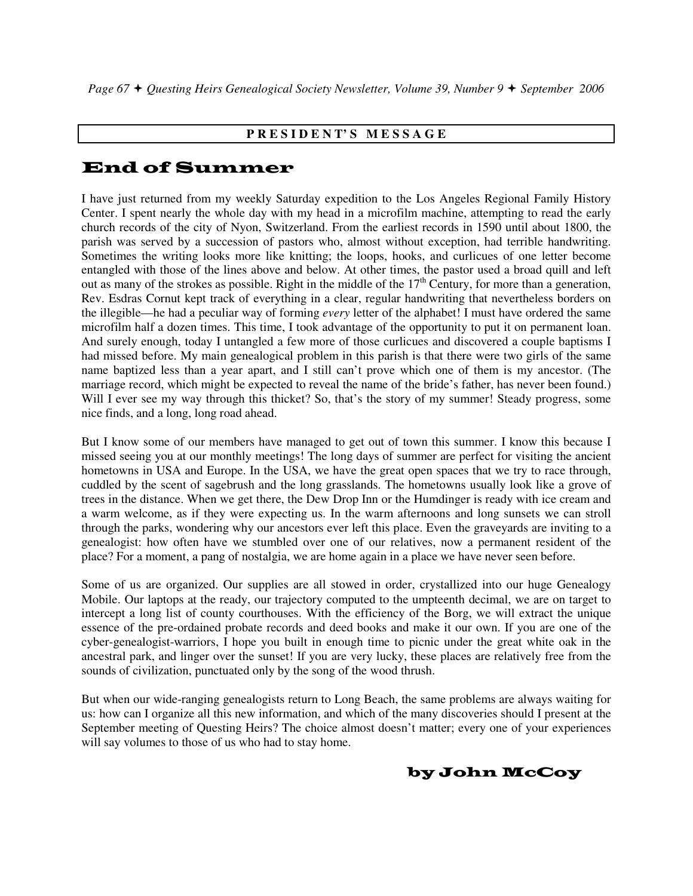## **P R E S I D E N T' S M E S S A G E**

# End of Summer

I have just returned from my weekly Saturday expedition to the Los Angeles Regional Family History Center. I spent nearly the whole day with my head in a microfilm machine, attempting to read the early church records of the city of Nyon, Switzerland. From the earliest records in 1590 until about 1800, the parish was served by a succession of pastors who, almost without exception, had terrible handwriting. Sometimes the writing looks more like knitting; the loops, hooks, and curlicues of one letter become entangled with those of the lines above and below. At other times, the pastor used a broad quill and left out as many of the strokes as possible. Right in the middle of the  $17<sup>th</sup>$  Century, for more than a generation, Rev. Esdras Cornut kept track of everything in a clear, regular handwriting that nevertheless borders on the illegible—he had a peculiar way of forming *every* letter of the alphabet! I must have ordered the same microfilm half a dozen times. This time, I took advantage of the opportunity to put it on permanent loan. And surely enough, today I untangled a few more of those curlicues and discovered a couple baptisms I had missed before. My main genealogical problem in this parish is that there were two girls of the same name baptized less than a year apart, and I still can't prove which one of them is my ancestor. (The marriage record, which might be expected to reveal the name of the bride's father, has never been found.) Will I ever see my way through this thicket? So, that's the story of my summer! Steady progress, some nice finds, and a long, long road ahead.

But I know some of our members have managed to get out of town this summer. I know this because I missed seeing you at our monthly meetings! The long days of summer are perfect for visiting the ancient hometowns in USA and Europe. In the USA, we have the great open spaces that we try to race through, cuddled by the scent of sagebrush and the long grasslands. The hometowns usually look like a grove of trees in the distance. When we get there, the Dew Drop Inn or the Humdinger is ready with ice cream and a warm welcome, as if they were expecting us. In the warm afternoons and long sunsets we can stroll through the parks, wondering why our ancestors ever left this place. Even the graveyards are inviting to a genealogist: how often have we stumbled over one of our relatives, now a permanent resident of the place? For a moment, a pang of nostalgia, we are home again in a place we have never seen before.

Some of us are organized. Our supplies are all stowed in order, crystallized into our huge Genealogy Mobile. Our laptops at the ready, our trajectory computed to the umpteenth decimal, we are on target to intercept a long list of county courthouses. With the efficiency of the Borg, we will extract the unique essence of the pre-ordained probate records and deed books and make it our own. If you are one of the cyber-genealogist-warriors, I hope you built in enough time to picnic under the great white oak in the ancestral park, and linger over the sunset! If you are very lucky, these places are relatively free from the sounds of civilization, punctuated only by the song of the wood thrush.

But when our wide-ranging genealogists return to Long Beach, the same problems are always waiting for us: how can I organize all this new information, and which of the many discoveries should I present at the September meeting of Questing Heirs? The choice almost doesn't matter; every one of your experiences will say volumes to those of us who had to stay home.

## by John McCoy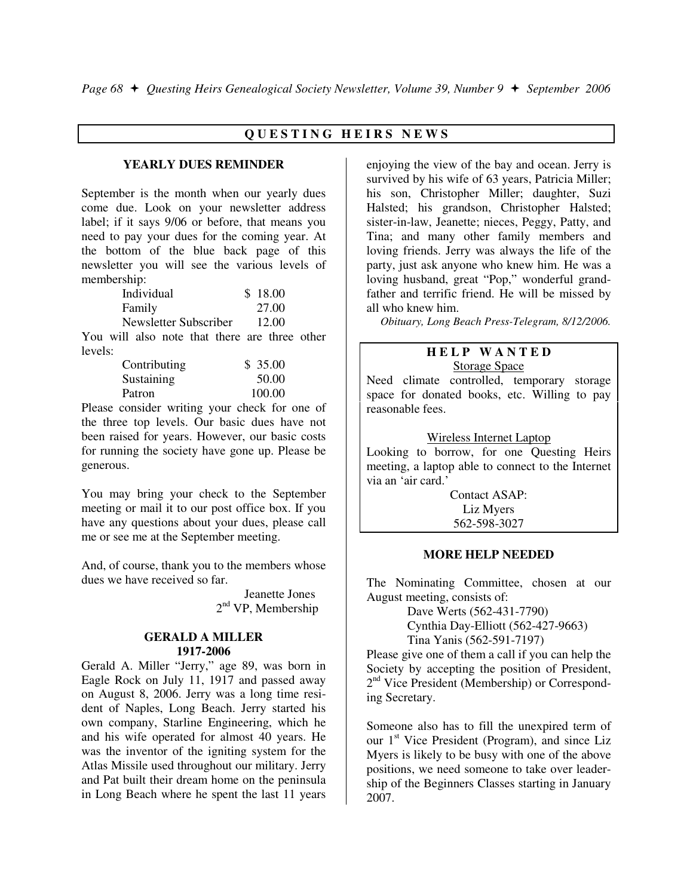## **Q U E S T I N G H E I R S N E W S**

#### **YEARLY DUES REMINDER**

September is the month when our yearly dues come due. Look on your newsletter address label; if it says 9/06 or before, that means you need to pay your dues for the coming year. At the bottom of the blue back page of this newsletter you will see the various levels of membership:

| Individual            | \$18.00 |
|-----------------------|---------|
| Family                | 27.00   |
| Newsletter Subscriber | 12.00   |

You will also note that there are three other levels:

| Contributing | \$35.00 |
|--------------|---------|
| Sustaining   | 50.00   |
| Patron       | 100.00  |

Please consider writing your check for one of the three top levels. Our basic dues have not been raised for years. However, our basic costs for running the society have gone up. Please be generous.

You may bring your check to the September meeting or mail it to our post office box. If you have any questions about your dues, please call me or see me at the September meeting.

And, of course, thank you to the members whose dues we have received so far.

> Jeanette Jones  $2<sup>nd</sup> VP$ , Membership

#### **GERALD A MILLER 1917-2006**

Gerald A. Miller "Jerry," age 89, was born in Eagle Rock on July 11, 1917 and passed away on August 8, 2006. Jerry was a long time resident of Naples, Long Beach. Jerry started his own company, Starline Engineering, which he and his wife operated for almost 40 years. He was the inventor of the igniting system for the Atlas Missile used throughout our military. Jerry and Pat built their dream home on the peninsula in Long Beach where he spent the last 11 years

enjoying the view of the bay and ocean. Jerry is survived by his wife of 63 years, Patricia Miller; his son, Christopher Miller; daughter, Suzi Halsted; his grandson, Christopher Halsted; sister-in-law, Jeanette; nieces, Peggy, Patty, and Tina; and many other family members and loving friends. Jerry was always the life of the party, just ask anyone who knew him. He was a loving husband, great "Pop," wonderful grandfather and terrific friend. He will be missed by all who knew him.

*Obituary, Long Beach Press-Telegram, 8/12/2006.* 

#### **H E L P W A N T E D**  Storage Space

Need climate controlled, temporary storage space for donated books, etc. Willing to pay reasonable fees.

#### Wireless Internet Laptop

Looking to borrow, for one Questing Heirs meeting, a laptop able to connect to the Internet via an 'air card.'

> Contact ASAP: Liz Myers 562-598-3027

#### **MORE HELP NEEDED**

The Nominating Committee, chosen at our August meeting, consists of:

> Dave Werts (562-431-7790) Cynthia Day-Elliott (562-427-9663) Tina Yanis (562-591-7197)

Please give one of them a call if you can help the Society by accepting the position of President, 2<sup>nd</sup> Vice President (Membership) or Corresponding Secretary.

Someone also has to fill the unexpired term of our  $1<sup>st</sup>$  Vice President (Program), and since Liz Myers is likely to be busy with one of the above positions, we need someone to take over leadership of the Beginners Classes starting in January 2007.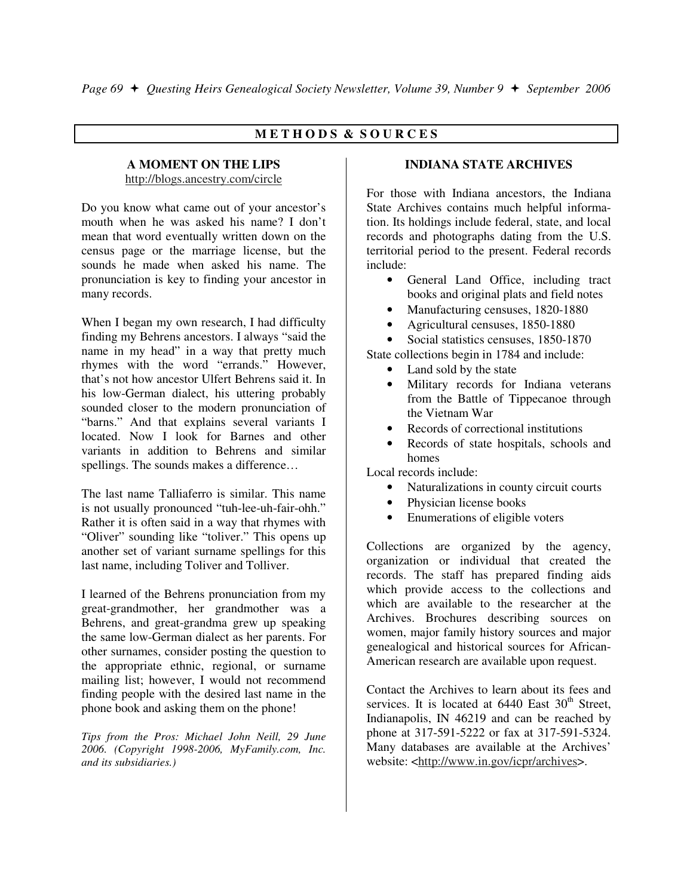## **M E T H O D S & S O U R C E S**

#### **A MOMENT ON THE LIPS**  http://blogs.ancestry.com/circle

Do you know what came out of your ancestor's mouth when he was asked his name? I don't mean that word eventually written down on the census page or the marriage license, but the sounds he made when asked his name. The pronunciation is key to finding your ancestor in many records.

When I began my own research, I had difficulty finding my Behrens ancestors. I always "said the name in my head" in a way that pretty much rhymes with the word "errands." However, that's not how ancestor Ulfert Behrens said it. In his low-German dialect, his uttering probably sounded closer to the modern pronunciation of "barns." And that explains several variants I located. Now I look for Barnes and other variants in addition to Behrens and similar spellings. The sounds makes a difference...

The last name Talliaferro is similar. This name is not usually pronounced "tuh-lee-uh-fair-ohh." Rather it is often said in a way that rhymes with "Oliver" sounding like "toliver." This opens up another set of variant surname spellings for this last name, including Toliver and Tolliver.

I learned of the Behrens pronunciation from my great-grandmother, her grandmother was a Behrens, and great-grandma grew up speaking the same low-German dialect as her parents. For other surnames, consider posting the question to the appropriate ethnic, regional, or surname mailing list; however, I would not recommend finding people with the desired last name in the phone book and asking them on the phone!

*Tips from the Pros: Michael John Neill, 29 June 2006. (Copyright 1998-2006, MyFamily.com, Inc. and its subsidiaries.)* 

## **INDIANA STATE ARCHIVES**

For those with Indiana ancestors, the Indiana State Archives contains much helpful information. Its holdings include federal, state, and local records and photographs dating from the U.S. territorial period to the present. Federal records include:

- General Land Office, including tract books and original plats and field notes
- Manufacturing censuses, 1820-1880
- Agricultural censuses, 1850-1880
- Social statistics censuses, 1850-1870

State collections begin in 1784 and include:

- Land sold by the state
- Military records for Indiana veterans from the Battle of Tippecanoe through the Vietnam War
- Records of correctional institutions
- Records of state hospitals, schools and homes

Local records include:

- Naturalizations in county circuit courts
- Physician license books
- Enumerations of eligible voters

Collections are organized by the agency, organization or individual that created the records. The staff has prepared finding aids which provide access to the collections and which are available to the researcher at the Archives. Brochures describing sources on women, major family history sources and major genealogical and historical sources for African-American research are available upon request.

Contact the Archives to learn about its fees and services. It is located at  $6440$  East  $30<sup>th</sup>$  Street, Indianapolis, IN 46219 and can be reached by phone at 317-591-5222 or fax at 317-591-5324. Many databases are available at the Archives' website: <http://www.in.gov/icpr/archives>.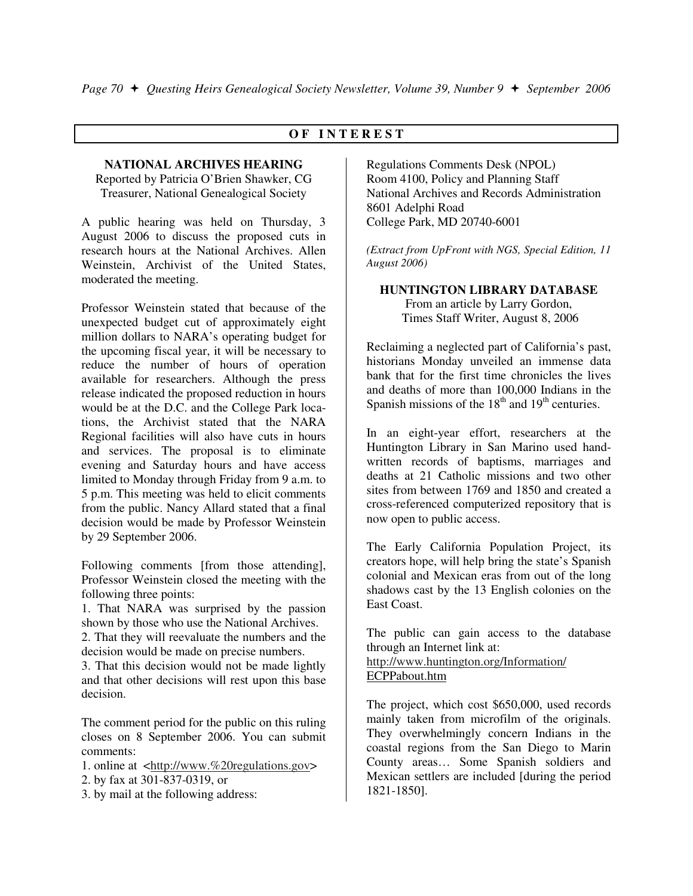## **O F I N T E R E S T**

## **NATIONAL ARCHIVES HEARING**

Reported by Patricia O'Brien Shawker, CG Treasurer, National Genealogical Society

A public hearing was held on Thursday, 3 August 2006 to discuss the proposed cuts in research hours at the National Archives. Allen Weinstein, Archivist of the United States, moderated the meeting.

Professor Weinstein stated that because of the unexpected budget cut of approximately eight million dollars to NARA's operating budget for the upcoming fiscal year, it will be necessary to reduce the number of hours of operation available for researchers. Although the press release indicated the proposed reduction in hours would be at the D.C. and the College Park locations, the Archivist stated that the NARA Regional facilities will also have cuts in hours and services. The proposal is to eliminate evening and Saturday hours and have access limited to Monday through Friday from 9 a.m. to 5 p.m. This meeting was held to elicit comments from the public. Nancy Allard stated that a final decision would be made by Professor Weinstein by 29 September 2006.

Following comments [from those attending], Professor Weinstein closed the meeting with the following three points:

1. That NARA was surprised by the passion shown by those who use the National Archives. 2. That they will reevaluate the numbers and the decision would be made on precise numbers.

3. That this decision would not be made lightly and that other decisions will rest upon this base decision.

The comment period for the public on this ruling closes on 8 September 2006. You can submit comments:

1. online at <http://www.%20regulations.gov>

2. by fax at 301-837-0319, or

3. by mail at the following address:

Regulations Comments Desk (NPOL) Room 4100, Policy and Planning Staff National Archives and Records Administration 8601 Adelphi Road College Park, MD 20740-6001

*(Extract from UpFront with NGS, Special Edition, 11 August 2006)* 

**HUNTINGTON LIBRARY DATABASE**  From an article by Larry Gordon, Times Staff Writer, August 8, 2006

Reclaiming a neglected part of California's past, historians Monday unveiled an immense data bank that for the first time chronicles the lives and deaths of more than 100,000 Indians in the Spanish missions of the  $18<sup>th</sup>$  and  $19<sup>th</sup>$  centuries.

In an eight-year effort, researchers at the Huntington Library in San Marino used handwritten records of baptisms, marriages and deaths at 21 Catholic missions and two other sites from between 1769 and 1850 and created a cross-referenced computerized repository that is now open to public access.

The Early California Population Project, its creators hope, will help bring the state's Spanish colonial and Mexican eras from out of the long shadows cast by the 13 English colonies on the East Coast.

The public can gain access to the database through an Internet link at: http://www.huntington.org/Information/ ECPPabout.htm

The project, which cost \$650,000, used records mainly taken from microfilm of the originals. They overwhelmingly concern Indians in the coastal regions from the San Diego to Marin County areas… Some Spanish soldiers and Mexican settlers are included [during the period 1821-1850].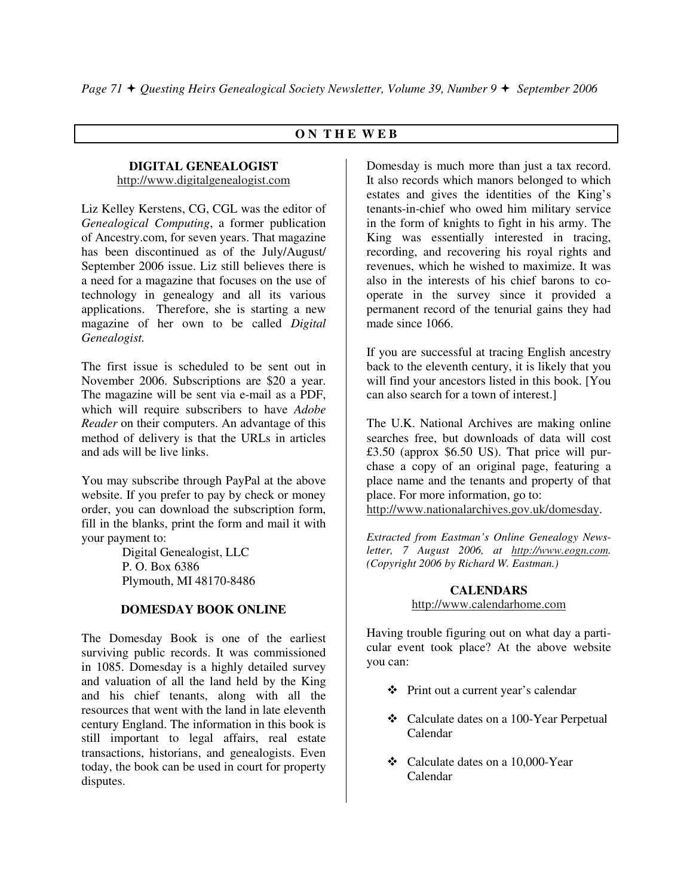## **O N T H E W E B**

#### **DIGITAL GENEALOGIST**  http://www.digitalgenealogist.com

Liz Kelley Kerstens, CG, CGL was the editor of *Genealogical Computing*, a former publication of Ancestry.com, for seven years. That magazine has been discontinued as of the July/August/ September 2006 issue. Liz still believes there is a need for a magazine that focuses on the use of technology in genealogy and all its various applications. Therefore, she is starting a new magazine of her own to be called *Digital Genealogist.*

The first issue is scheduled to be sent out in November 2006. Subscriptions are \$20 a year. The magazine will be sent via e-mail as a PDF, which will require subscribers to have *Adobe Reader* on their computers. An advantage of this method of delivery is that the URLs in articles and ads will be live links.

You may subscribe through PayPal at the above website. If you prefer to pay by check or money order, you can download the subscription form, fill in the blanks, print the form and mail it with your payment to:

> Digital Genealogist, LLC P. O. Box 6386 Plymouth, MI 48170-8486

## **DOMESDAY BOOK ONLINE**

The Domesday Book is one of the earliest surviving public records. It was commissioned in 1085. Domesday is a highly detailed survey and valuation of all the land held by the King and his chief tenants, along with all the resources that went with the land in late eleventh century England. The information in this book is still important to legal affairs, real estate transactions, historians, and genealogists. Even today, the book can be used in court for property disputes.

Domesday is much more than just a tax record. It also records which manors belonged to which estates and gives the identities of the King's tenants-in-chief who owed him military service in the form of knights to fight in his army. The King was essentially interested in tracing, recording, and recovering his royal rights and revenues, which he wished to maximize. It was also in the interests of his chief barons to cooperate in the survey since it provided a permanent record of the tenurial gains they had made since 1066.

If you are successful at tracing English ancestry back to the eleventh century, it is likely that you will find your ancestors listed in this book. [You can also search for a town of interest.]

The U.K. National Archives are making online searches free, but downloads of data will cost £3.50 (approx \$6.50 US). That price will purchase a copy of an original page, featuring a place name and the tenants and property of that place. For more information, go to: http://www.nationalarchives.gov.uk/domesday.

*Extracted from Eastman's Online Genealogy Newsletter, 7 August 2006, at http://www.eogn.com. (Copyright 2006 by Richard W. Eastman.)* 

## **CALENDARS**  http://www.calendarhome.com

Having trouble figuring out on what day a particular event took place? At the above website you can:

- Print out a current year's calendar
- Calculate dates on a 100-Year Perpetual Calendar
- Calculate dates on a 10,000-Year Calendar